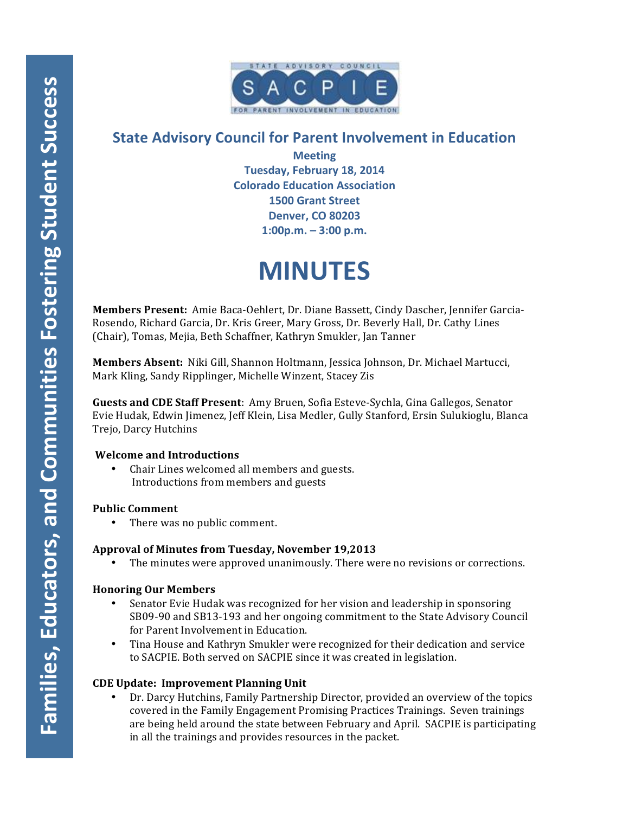

# **State Advisory Council for Parent Involvement in Education**

**Meeting Tuesday, February 18, 2014 Colorado Education Association 1500 Grant Street Denver, CO 80203 1:00p.m. – 3:00 p.m.**

# **MINUTES**

**Members Present:** Amie Baca-Oehlert, Dr. Diane Bassett, Cindy Dascher, Jennifer Garcia-Rosendo, Richard Garcia, Dr. Kris Greer, Mary Gross, Dr. Beverly Hall, Dr. Cathy Lines (Chair), Tomas, Mejia, Beth Schaffner, Kathryn Smukler, Jan Tanner

**Members Absent:** Niki Gill, Shannon Holtmann, Jessica Johnson, Dr. Michael Martucci, Mark Kling, Sandy Ripplinger, Michelle Winzent, Stacey Zis

**Guests and CDE Staff Present**: Amy Bruen, Sofia Esteve-Sychla, Gina Gallegos, Senator Evie Hudak, Edwin Jimenez, Jeff Klein, Lisa Medler, Gully Stanford, Ersin Sulukioglu, Blanca Trejo, Darcy Hutchins

# **Welcome and Introductions**

Chair Lines welcomed all members and guests. Introductions from members and guests

# **Public Comment**

• There was no public comment.

# **Approval of Minutes from Tuesday, November 19,2013**

The minutes were approved unanimously. There were no revisions or corrections.

# **Honoring Our Members**

- Senator Evie Hudak was recognized for her vision and leadership in sponsoring SB09-90 and SB13-193 and her ongoing commitment to the State Advisory Council for Parent Involvement in Education.
- Tina House and Kathryn Smukler were recognized for their dedication and service to SACPIE. Both served on SACPIE since it was created in legislation.

# **CDE Update: Improvement Planning Unit**

Dr. Darcy Hutchins, Family Partnership Director, provided an overview of the topics covered in the Family Engagement Promising Practices Trainings. Seven trainings are being held around the state between February and April. SACPIE is participating in all the trainings and provides resources in the packet.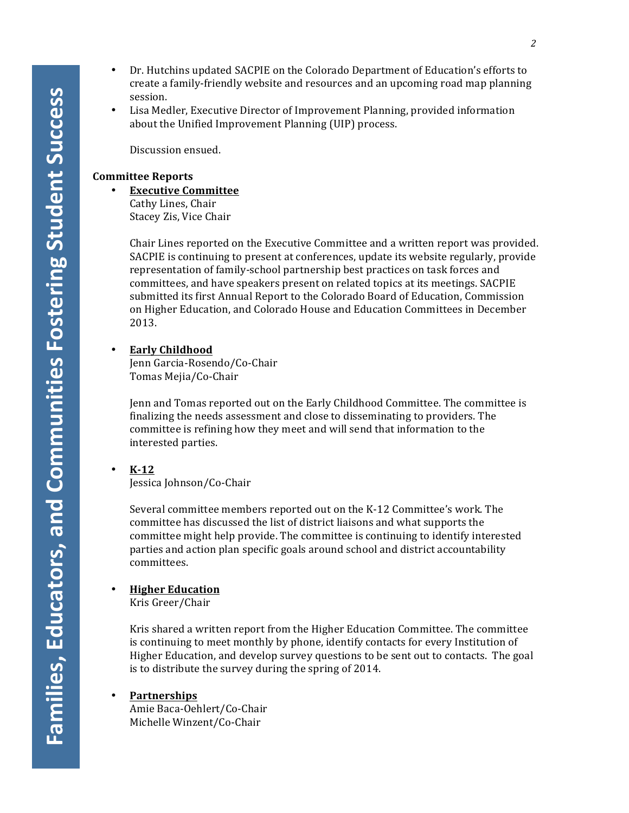- Dr. Hutchins updated SACPIE on the Colorado Department of Education's efforts to create a family-friendly website and resources and an upcoming road map planning session.
- Lisa Medler, Executive Director of Improvement Planning, provided information about the Unified Improvement Planning (UIP) process.

Discussion ensued.

#### **Committee Reports**

• **Executive Committee** 

Cathy Lines, Chair Stacey Zis, Vice Chair

Chair Lines reported on the Executive Committee and a written report was provided. SACPIE is continuing to present at conferences, update its website regularly, provide representation of family-school partnership best practices on task forces and committees, and have speakers present on related topics at its meetings. SACPIE submitted its first Annual Report to the Colorado Board of Education, Commission on Higher Education, and Colorado House and Education Committees in December 2013.

• **Early Childhood**

Jenn Garcia-Rosendo/Co-Chair Tomas Mejia/Co-Chair

Jenn and Tomas reported out on the Early Childhood Committee. The committee is finalizing the needs assessment and close to disseminating to providers. The committee is refining how they meet and will send that information to the interested parties.

• **K-12** Jessica Johnson/Co-Chair

> Several committee members reported out on the K-12 Committee's work. The committee has discussed the list of district liaisons and what supports the committee might help provide. The committee is continuing to identify interested parties and action plan specific goals around school and district accountability committees.

# • **Higher Education**

Kris Greer/Chair

Kris shared a written report from the Higher Education Committee. The committee is continuing to meet monthly by phone, identify contacts for every Institution of Higher Education, and develop survey questions to be sent out to contacts. The goal is to distribute the survey during the spring of 2014.

• **Partnerships**

Amie Baca-Oehlert/Co-Chair Michelle Winzent/Co-Chair